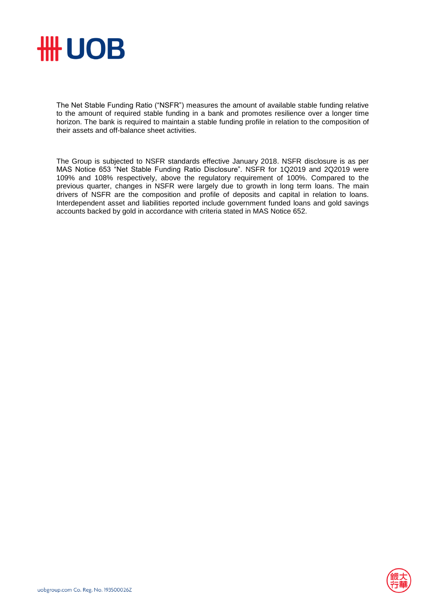

The Net Stable Funding Ratio ("NSFR") measures the amount of available stable funding relative to the amount of required stable funding in a bank and promotes resilience over a longer time horizon. The bank is required to maintain a stable funding profile in relation to the composition of their assets and off-balance sheet activities.

The Group is subjected to NSFR standards effective January 2018. NSFR disclosure is as per MAS Notice 653 "Net Stable Funding Ratio Disclosure". NSFR for 1Q2019 and 2Q2019 were 109% and 108% respectively, above the regulatory requirement of 100%. Compared to the previous quarter, changes in NSFR were largely due to growth in long term loans. The main drivers of NSFR are the composition and profile of deposits and capital in relation to loans. Interdependent asset and liabilities reported include government funded loans and gold savings accounts backed by gold in accordance with criteria stated in MAS Notice 652.

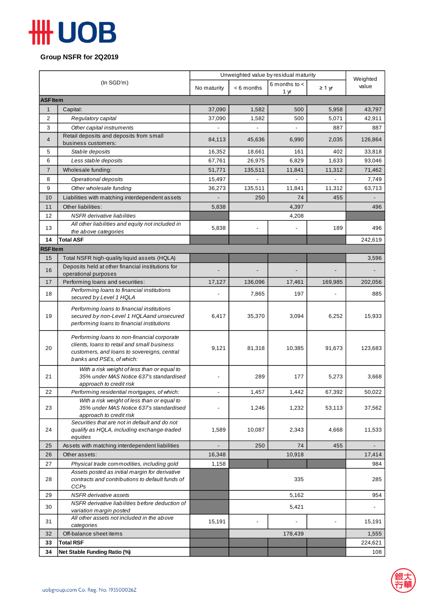## **HH UOB**

**Group NSFR for 2Q2019**

| (In SGD'm)      |                                                                           | Unweighted value by residual maturity |           |                   |             | Weighted |  |  |
|-----------------|---------------------------------------------------------------------------|---------------------------------------|-----------|-------------------|-------------|----------|--|--|
|                 |                                                                           | No maturity                           | <6 months | 6 months to $\lt$ | $\geq 1$ yr | value    |  |  |
| 1 yr            |                                                                           |                                       |           |                   |             |          |  |  |
| <b>ASF Item</b> |                                                                           |                                       |           |                   |             |          |  |  |
| $\mathbf{1}$    | Capital:                                                                  | 37,090                                | 1,582     | 500               | 5,958       | 43,797   |  |  |
| $\overline{c}$  | Regulatory capital                                                        | 37,090                                | 1,582     | 500               | 5,071       | 42,911   |  |  |
| 3               | Other capital instruments                                                 |                                       |           |                   | 887         | 887      |  |  |
| 4               | Retail deposits and deposits from small<br>business customers:            | 84,113                                | 45,636    | 6,990             | 2,035       | 126,864  |  |  |
| 5               | Stable deposits                                                           | 16,352                                | 18,661    | 161               | 402         | 33,818   |  |  |
| 6               | Less stable deposits                                                      | 67,761                                | 26,975    | 6,829             | 1,633       | 93,046   |  |  |
| 7               | Wholesale funding:                                                        | 51,771                                | 135,511   | 11,841            | 11,312      | 71,462   |  |  |
| 8               | Operational deposits                                                      | 15,497                                |           |                   |             | 7,749    |  |  |
| 9               | Other wholesale funding                                                   | 36,273                                | 135,511   | 11,841            | 11,312      | 63,713   |  |  |
| 10              | Liabilities with matching interdependent assets                           |                                       | 250       | 74                | 455         |          |  |  |
| 11              | Other liabilities:                                                        | 5,838                                 |           | 4,397             |             | 496      |  |  |
| 12              | <b>NSFR</b> derivative liabilities                                        |                                       | 4,208     |                   |             |          |  |  |
| 13              | All other liabilities and equity not included in                          | 5,838                                 |           |                   | 189         | 496      |  |  |
|                 | the above categories                                                      |                                       |           |                   |             |          |  |  |
| 14              | <b>Total ASF</b>                                                          |                                       |           |                   |             | 242,619  |  |  |
| <b>RSF Item</b> |                                                                           |                                       |           |                   |             |          |  |  |
| 15              | Total NSFR high-quality liquid assets (HQLA)                              |                                       |           |                   |             | 3,596    |  |  |
| 16              | Deposits held at other financial institutions for<br>operational purposes |                                       |           |                   |             |          |  |  |
| 17              | Performing loans and securities:                                          | 17,127                                | 136,096   | 17,461            | 169,985     | 202,056  |  |  |
|                 | Performing loans to financial institutions                                |                                       |           |                   |             |          |  |  |
| 18              | secured by Level 1 HQLA                                                   |                                       | 7,865     | 197               |             | 885      |  |  |
|                 | Performing loans to financial institutions                                |                                       |           |                   |             |          |  |  |
| 19              | secured by non-Level 1 HQLAand unsecured                                  | 6,417                                 | 35,370    | 3,094             | 6,252       | 15,933   |  |  |
|                 | performing loans to financial institutions                                |                                       |           |                   |             |          |  |  |
|                 | Performing loans to non-financial corporate                               |                                       |           |                   |             |          |  |  |
| 20              | clients, loans to retail and small business                               | 9,121                                 | 81,318    | 10,385            | 91,673      | 123,683  |  |  |
|                 | customers, and loans to sovereigns, central                               |                                       |           |                   |             |          |  |  |
|                 | banks and PSEs, of which:                                                 |                                       |           |                   |             |          |  |  |
|                 | With a risk weight of less than or equal to                               |                                       |           |                   |             |          |  |  |
| 21              | 35% under MAS Notice 637's standardised<br>approach to credit risk        |                                       | 289       | 177               | 5,273       | 3,668    |  |  |
| 22              | Performing residential mortgages, of which:                               |                                       | 1,457     | 1,442             | 67,392      | 50,022   |  |  |
|                 | With a risk weight of less than or equal to                               |                                       |           |                   |             |          |  |  |
| 23              | 35% under MAS Notice 637's standardised                                   |                                       | 1,246     | 1,232             | 53,113      | 37,562   |  |  |
|                 | approach to credit risk<br>Securities that are not in default and do not  |                                       |           |                   |             |          |  |  |
| 24              | qualify as HQLA, including exchange-traded                                | 1,589                                 | 10,087    | 2,343             | 4,668       | 11,533   |  |  |
|                 | equities                                                                  |                                       |           |                   |             |          |  |  |
| 25              | Assets with matching interdependent liabilities                           |                                       | 250       | 74                | 455         |          |  |  |
| 26              | Other assets:                                                             | 16,348                                |           | 10,918            |             | 17,414   |  |  |
| 27              | Physical trade commodities, including gold                                | 1,158                                 |           |                   |             | 984      |  |  |
|                 | Assets posted as initial margin for derivative                            |                                       |           |                   |             |          |  |  |
| 28              | contracts and contributions to default funds of                           |                                       |           | 335               |             | 285      |  |  |
| 29              | <b>CCPs</b><br><b>NSFR</b> derivative assets                              |                                       |           | 5,162             |             | 954      |  |  |
|                 | NSFR derivative liabilities before deduction of                           |                                       |           |                   |             |          |  |  |
| 30              | variation margin posted                                                   |                                       |           | 5,421             |             |          |  |  |
| 31              | All other assets not included in the above                                | 15,191                                |           |                   |             | 15,191   |  |  |
|                 | categories                                                                |                                       |           |                   |             |          |  |  |
| 32              | Off-balance sheet items                                                   |                                       |           | 178,439           |             | 1,555    |  |  |
| 33              | <b>Total RSF</b>                                                          |                                       |           |                   |             | 224,621  |  |  |
| 34              | Net Stable Funding Ratio (%)                                              |                                       |           |                   |             | 108      |  |  |